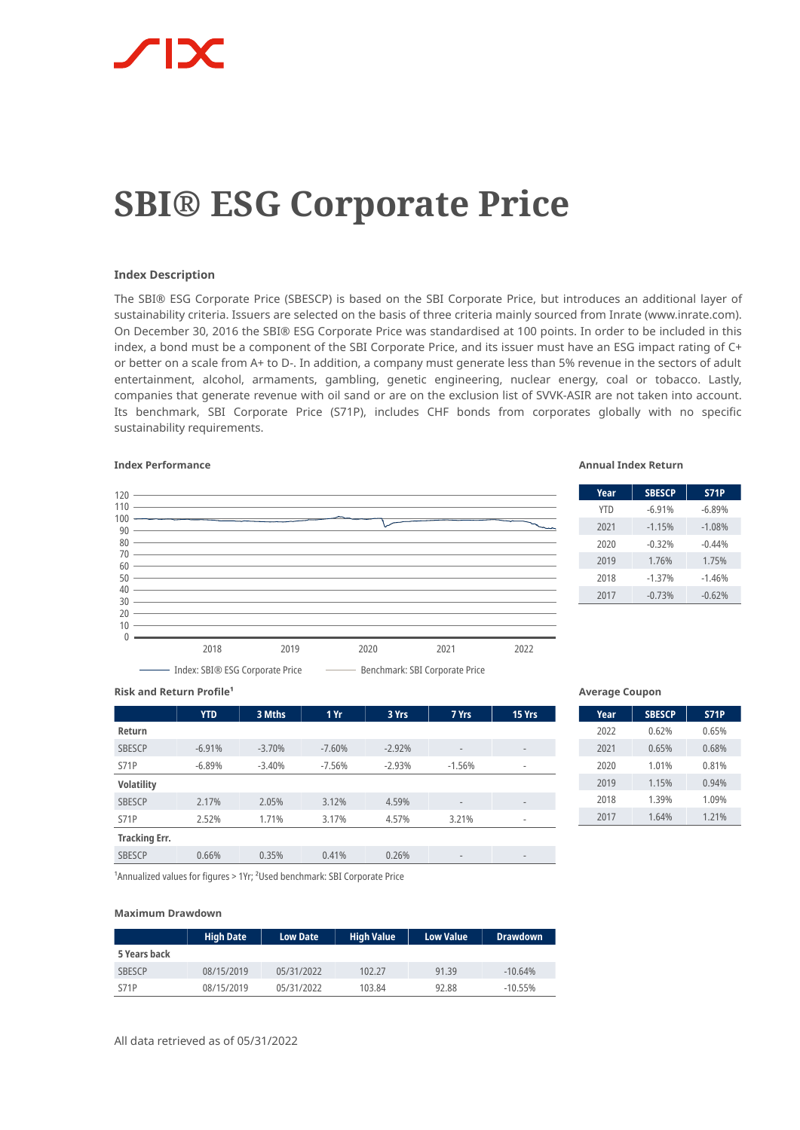# **SBI® ESG Corporate Price**

# **Index Description**

The SBI® ESG Corporate Price (SBESCP) is based on the SBI Corporate Price, but introduces an additional layer of sustainability criteria. Issuers are selected on the basis of three criteria mainly sourced from Inrate (www.inrate.com). On December 30, 2016 the SBI® ESG Corporate Price was standardised at 100 points. In order to be included in this index, a bond must be a component of the SBI Corporate Price, and its issuer must have an ESG impact rating of C+ or better on a scale from A+ to D-. In addition, a company must generate less than 5% revenue in the sectors of adult entertainment, alcohol, armaments, gambling, genetic engineering, nuclear energy, coal or tobacco. Lastly, companies that generate revenue with oil sand or are on the exclusion list of SVVK-ASIR are not taken into account. Its benchmark, SBI Corporate Price (S71P), includes CHF bonds from corporates globally with no specific sustainability requirements.



# **Index Performance Annual Index Return**

| Year       | <b>SBESCP</b> | 571P     |
|------------|---------------|----------|
| <b>YTD</b> | $-6.91%$      | $-6.89%$ |
| 2021       | $-1.15%$      | $-1.08%$ |
| 2020       | $-0.32%$      | $-0.44%$ |
| 2019       | 1.76%         | 1.75%    |
| 2018       | $-1.37%$      | $-1.46%$ |
| 2017       | $-0.73%$      | $-0.62%$ |

**Risk and Return Profile<sup>1</sup>** 

|                      | <b>YTD</b> | 3 Mths   | 1 Yr     | 3 Yrs    | 7 Yrs                    | 15 Yrs                       |
|----------------------|------------|----------|----------|----------|--------------------------|------------------------------|
| Return               |            |          |          |          |                          |                              |
| <b>SBESCP</b>        | $-6.91%$   | $-3.70%$ | $-7.60%$ | $-2.92%$ | $\overline{\phantom{a}}$ | $\qquad \qquad \blacksquare$ |
| <b>S71P</b>          | $-6.89%$   | $-3.40%$ | $-7.56%$ | $-2.93%$ | $-1.56%$                 | $\overline{\phantom{a}}$     |
| <b>Volatility</b>    |            |          |          |          |                          |                              |
| <b>SBESCP</b>        | 2.17%      | 2.05%    | 3.12%    | 4.59%    | $\overline{\phantom{a}}$ | $\qquad \qquad \blacksquare$ |
| <b>S71P</b>          | 2.52%      | 1.71%    | 3.17%    | 4.57%    | 3.21%                    | $\qquad \qquad \blacksquare$ |
| <b>Tracking Err.</b> |            |          |          |          |                          |                              |
| <b>SBESCP</b>        | 0.66%      | 0.35%    | 0.41%    | 0.26%    | $\qquad \qquad$          | $\qquad \qquad$              |

## **Average Coupon**

| Year | <b>SBESCP</b> | <b>S71P</b> |
|------|---------------|-------------|
| 2022 | 0.62%         | 0.65%       |
| 2021 | 0.65%         | 0.68%       |
| 2020 | 1.01%         | 0.81%       |
| 2019 | 1.15%         | 0.94%       |
| 2018 | 1.39%         | 1.09%       |
| 2017 | 1.64%         | 1.21%       |

<sup>1</sup> Annualized values for figures > 1Yr; <sup>2</sup>Used benchmark: SBI Corporate Price

## **Maximum Drawdown**

|               | <b>High Date</b> | <b>Low Date</b> | <b>High Value</b> | <b>Low Value</b> | <b>Drawdown</b> |
|---------------|------------------|-----------------|-------------------|------------------|-----------------|
| 5 Years back  |                  |                 |                   |                  |                 |
| <b>SBESCP</b> | 08/15/2019       | 05/31/2022      | 102.27            | 91.39            | $-10.64%$       |
| <b>S71P</b>   | 08/15/2019       | 05/31/2022      | 103.84            | 92.88            | $-10.55%$       |

All data retrieved as of 05/31/2022